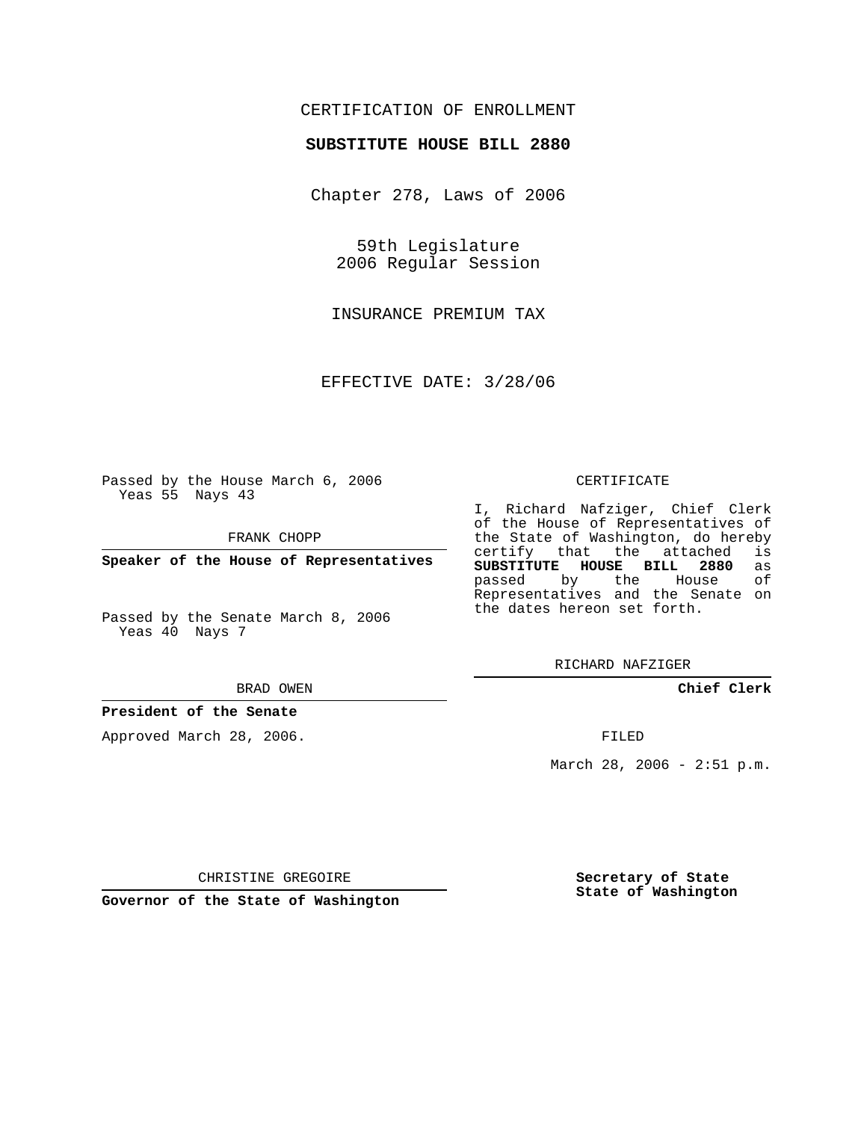# CERTIFICATION OF ENROLLMENT

### **SUBSTITUTE HOUSE BILL 2880**

Chapter 278, Laws of 2006

59th Legislature 2006 Regular Session

INSURANCE PREMIUM TAX

EFFECTIVE DATE: 3/28/06

Passed by the House March 6, 2006 Yeas 55 Nays 43

FRANK CHOPP

**Speaker of the House of Representatives**

Passed by the Senate March 8, 2006 Yeas 40 Nays 7

#### BRAD OWEN

### **President of the Senate**

Approved March 28, 2006.

#### CERTIFICATE

I, Richard Nafziger, Chief Clerk of the House of Representatives of the State of Washington, do hereby<br>certify that the attached is certify that the attached **SUBSTITUTE HOUSE BILL 2880** as passed by the House Representatives and the Senate on the dates hereon set forth.

RICHARD NAFZIGER

**Chief Clerk**

FILED

March 28, 2006 - 2:51 p.m.

CHRISTINE GREGOIRE

**Governor of the State of Washington**

**Secretary of State State of Washington**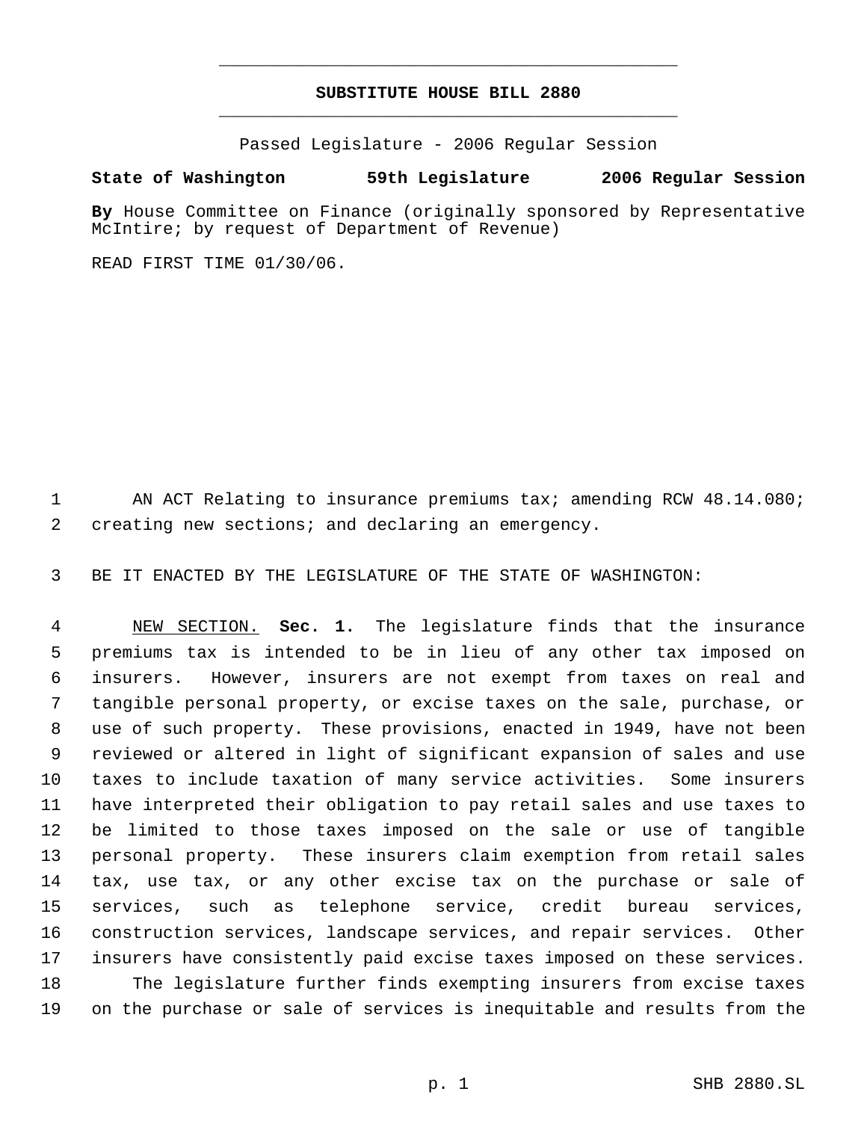# **SUBSTITUTE HOUSE BILL 2880** \_\_\_\_\_\_\_\_\_\_\_\_\_\_\_\_\_\_\_\_\_\_\_\_\_\_\_\_\_\_\_\_\_\_\_\_\_\_\_\_\_\_\_\_\_

\_\_\_\_\_\_\_\_\_\_\_\_\_\_\_\_\_\_\_\_\_\_\_\_\_\_\_\_\_\_\_\_\_\_\_\_\_\_\_\_\_\_\_\_\_

Passed Legislature - 2006 Regular Session

## **State of Washington 59th Legislature 2006 Regular Session**

**By** House Committee on Finance (originally sponsored by Representative McIntire; by request of Department of Revenue)

READ FIRST TIME 01/30/06.

 AN ACT Relating to insurance premiums tax; amending RCW 48.14.080; creating new sections; and declaring an emergency.

BE IT ENACTED BY THE LEGISLATURE OF THE STATE OF WASHINGTON:

 NEW SECTION. **Sec. 1.** The legislature finds that the insurance premiums tax is intended to be in lieu of any other tax imposed on insurers. However, insurers are not exempt from taxes on real and tangible personal property, or excise taxes on the sale, purchase, or use of such property. These provisions, enacted in 1949, have not been reviewed or altered in light of significant expansion of sales and use taxes to include taxation of many service activities. Some insurers have interpreted their obligation to pay retail sales and use taxes to be limited to those taxes imposed on the sale or use of tangible personal property. These insurers claim exemption from retail sales tax, use tax, or any other excise tax on the purchase or sale of services, such as telephone service, credit bureau services, construction services, landscape services, and repair services. Other insurers have consistently paid excise taxes imposed on these services. The legislature further finds exempting insurers from excise taxes on the purchase or sale of services is inequitable and results from the